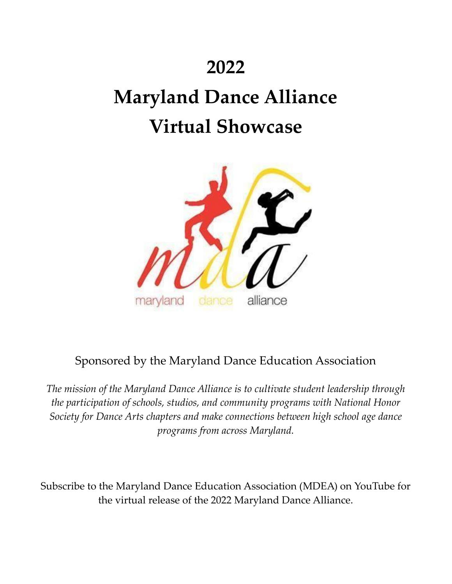# **2022**

# **Maryland Dance Alliance Virtual Showcase**



# Sponsored by the Maryland Dance Education Association

*The mission of the Maryland Dance Alliance is to cultivate student leadership through the participation of schools, studios, and community programs with National Honor Society for Dance Arts chapters and make connections between high school age dance programs from across Maryland.*

Subscribe to the Maryland Dance Education Association (MDEA) on YouTube for the virtual release of the 2022 Maryland Dance Alliance.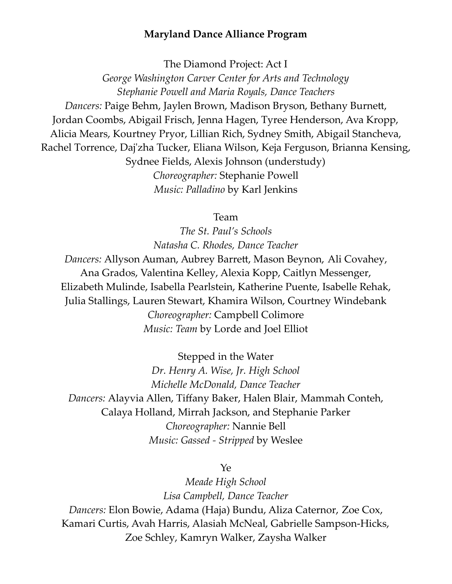#### **Maryland Dance Alliance Program**

The Diamond Project: Act I

*George Washington Carver Center for Arts and Technology Stephanie Powell and Maria Royals, Dance Teachers Dancers:* Paige Behm, Jaylen Brown, Madison Bryson, Bethany Burnett, Jordan Coombs, Abigail Frisch, Jenna Hagen, Tyree Henderson, Ava Kropp, Alicia Mears, Kourtney Pryor, Lillian Rich, Sydney Smith, Abigail Stancheva, Rachel Torrence, Daj'zha Tucker, Eliana Wilson, Keja Ferguson, Brianna Kensing, Sydnee Fields, Alexis Johnson (understudy) *Choreographer:* Stephanie Powell *Music: Palladino* by Karl Jenkins

Team

*The St. Paul's Schools Natasha C. Rhodes, Dance Teacher Dancers:* Allyson Auman, Aubrey Barrett, Mason Beynon, Ali Covahey, Ana Grados, Valentina Kelley, Alexia Kopp, Caitlyn Messenger, Elizabeth Mulinde, Isabella Pearlstein, Katherine Puente, Isabelle Rehak, Julia Stallings, Lauren Stewart, Khamira Wilson, Courtney Windebank *Choreographer:* Campbell Colimore *Music: Team* by Lorde and Joel Elliot

Stepped in the Water *Dr. Henry A. Wise, Jr. High School Michelle McDonald, Dance Teacher Dancers:* Alayvia Allen, Tiffany Baker, Halen Blair, Mammah Conteh, Calaya Holland, Mirrah Jackson, and Stephanie Parker *Choreographer:* Nannie Bell *Music: Gassed - Stripped* by Weslee

Ye

*Meade High School Lisa Campbell, Dance Teacher Dancers:* Elon Bowie, Adama (Haja) Bundu, Aliza Caternor, Zoe Cox, Kamari Curtis, Avah Harris, Alasiah McNeal, Gabrielle Sampson-Hicks, Zoe Schley, Kamryn Walker, Zaysha Walker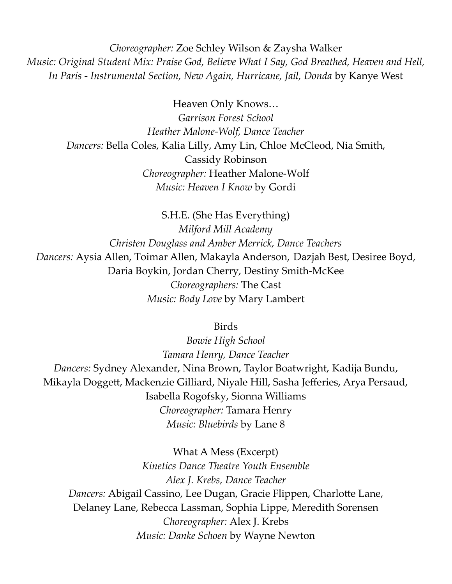*Choreographer:* Zoe Schley Wilson & Zaysha Walker *Music: Original Student Mix: Praise God, Believe What I Say, God Breathed, Heaven and Hell, In Paris - Instrumental Section, New Again, Hurricane, Jail, Donda* by Kanye West

> Heaven Only Knows… *Garrison Forest School Heather Malone-Wolf, Dance Teacher Dancers:* Bella Coles, Kalia Lilly, Amy Lin, Chloe McCleod, Nia Smith, Cassidy Robinson *Choreographer:* Heather Malone-Wolf *Music: Heaven I Know* by Gordi

S.H.E. (She Has Everything) *Milford Mill Academy Christen Douglass and Amber Merrick, Dance Teachers Dancers:* Aysia Allen, Toimar Allen, Makayla Anderson, Dazjah Best, Desiree Boyd, Daria Boykin, Jordan Cherry, Destiny Smith-McKee *Choreographers:* The Cast *Music: Body Love* by Mary Lambert

Birds

*Bowie High School Tamara Henry, Dance Teacher Dancers:* Sydney Alexander, Nina Brown, Taylor Boatwright, Kadija Bundu, Mikayla Doggett, Mackenzie Gilliard, Niyale Hill, Sasha Jefferies, Arya Persaud, Isabella Rogofsky, Sionna Williams *Choreographer:* Tamara Henry *Music: Bluebirds* by Lane 8

What A Mess (Excerpt) *Kinetics Dance Theatre Youth Ensemble Alex J. Krebs, Dance Teacher Dancers:* Abigail Cassino, Lee Dugan, Gracie Flippen, Charlotte Lane, Delaney Lane, Rebecca Lassman, Sophia Lippe, Meredith Sorensen *Choreographer:* Alex J. Krebs *Music: Danke Schoen* by Wayne Newton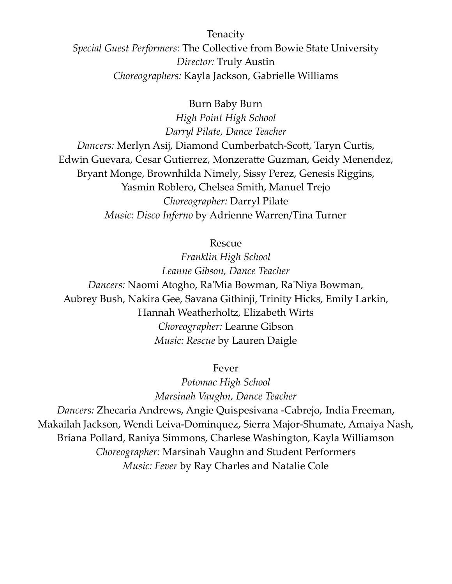### Tenacity *Special Guest Performers:* The Collective from Bowie State University *Director:* Truly Austin *Choreographers:* Kayla Jackson, Gabrielle Williams

Burn Baby Burn

*High Point High School Darryl Pilate, Dance Teacher Dancers:* Merlyn Asij, Diamond Cumberbatch-Scott, Taryn Curtis, Edwin Guevara, Cesar Gutierrez, Monzeratte Guzman, Geidy Menendez, Bryant Monge, Brownhilda Nimely, Sissy Perez, Genesis Riggins, Yasmin Roblero, Chelsea Smith, Manuel Trejo *Choreographer:* Darryl Pilate *Music: Disco Inferno* by Adrienne Warren/Tina Turner

Rescue

*Franklin High School Leanne Gibson, Dance Teacher Dancers:* Naomi Atogho, Ra'Mia Bowman, Ra'Niya Bowman, Aubrey Bush, Nakira Gee, Savana Githinji, Trinity Hicks, Emily Larkin, Hannah Weatherholtz, Elizabeth Wirts *Choreographer:* Leanne Gibson *Music: Rescue* by Lauren Daigle

Fever

*Potomac High School Marsinah Vaughn, Dance Teacher*

*Dancers:* Zhecaria Andrews, Angie Quispesivana -Cabrejo, India Freeman, Makailah Jackson, Wendi Leiva-Dominquez, Sierra Major-Shumate, Amaiya Nash, Briana Pollard, Raniya Simmons, Charlese Washington, Kayla Williamson *Choreographer:* Marsinah Vaughn and Student Performers *Music: Fever* by Ray Charles and Natalie Cole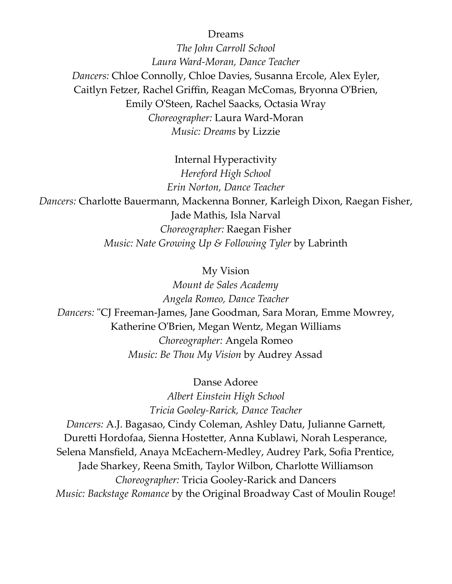#### Dreams

*The John Carroll School Laura Ward-Moran, Dance Teacher Dancers:* Chloe Connolly, Chloe Davies, Susanna Ercole, Alex Eyler, Caitlyn Fetzer, Rachel Griffin, Reagan McComas, Bryonna O'Brien, Emily O'Steen, Rachel Saacks, Octasia Wray *Choreographer:* Laura Ward-Moran *Music: Dreams* by Lizzie

Internal Hyperactivity *Hereford High School Erin Norton, Dance Teacher Dancers:* Charlotte Bauermann, Mackenna Bonner, Karleigh Dixon, Raegan Fisher, Jade Mathis, Isla Narval *Choreographer:* Raegan Fisher *Music: Nate Growing Up & Following Tyler* by Labrinth

My Vision

*Mount de Sales Academy Angela Romeo, Dance Teacher*

*Dancers:* "CJ Freeman-James, Jane Goodman, Sara Moran, Emme Mowrey, Katherine O'Brien, Megan Wentz, Megan Williams *Choreographer:* Angela Romeo *Music: Be Thou My Vision* by Audrey Assad

Danse Adoree

*Albert Einstein High School Tricia Gooley-Rarick, Dance Teacher*

*Dancers:* A.J. Bagasao, Cindy Coleman, Ashley Datu, Julianne Garnett, Duretti Hordofaa, Sienna Hostetter, Anna Kublawi, Norah Lesperance, Selena Mansfield, Anaya McEachern-Medley, Audrey Park, Sofia Prentice, Jade Sharkey, Reena Smith, Taylor Wilbon, Charlotte Williamson *Choreographer:* Tricia Gooley-Rarick and Dancers *Music: Backstage Romance* by the Original Broadway Cast of Moulin Rouge!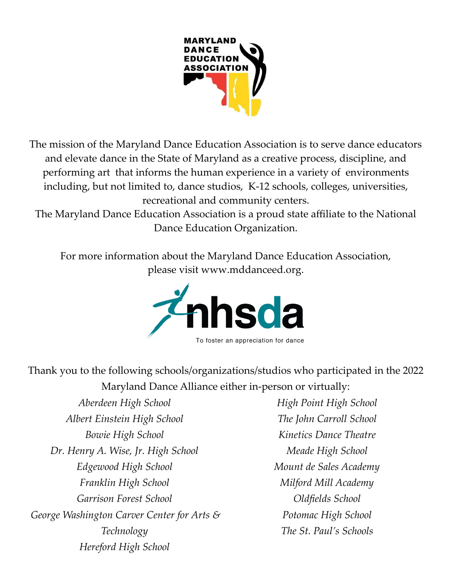

The mission of the Maryland Dance Education Association is to serve dance educators and elevate dance in the State of Maryland as a creative process, discipline, and performing art that informs the human experience in a variety of environments including, but not limited to, dance studios, K-12 schools, colleges, universities, recreational and community centers.

The Maryland Dance Education Association is a proud state affiliate to the National Dance Education Organization.

For more information about the Maryland Dance Education Association, please visit www.mddanceed.org.



Thank you to the following schools/organizations/studios who participated in the 2022 Maryland Dance Alliance either in-person or virtually:

*Aberdeen High School Albert Einstein High School Bowie High School Dr. Henry A. Wise, Jr. High School Edgewood High School Franklin High School Garrison Forest School George Washington Carver Center for Arts & Technology Hereford High School*

*High Point High School The John Carroll School Kinetics Dance Theatre Meade High School Mount de Sales Academy Milford Mill Academy Oldfields School Potomac High School The St. Paul's Schools*